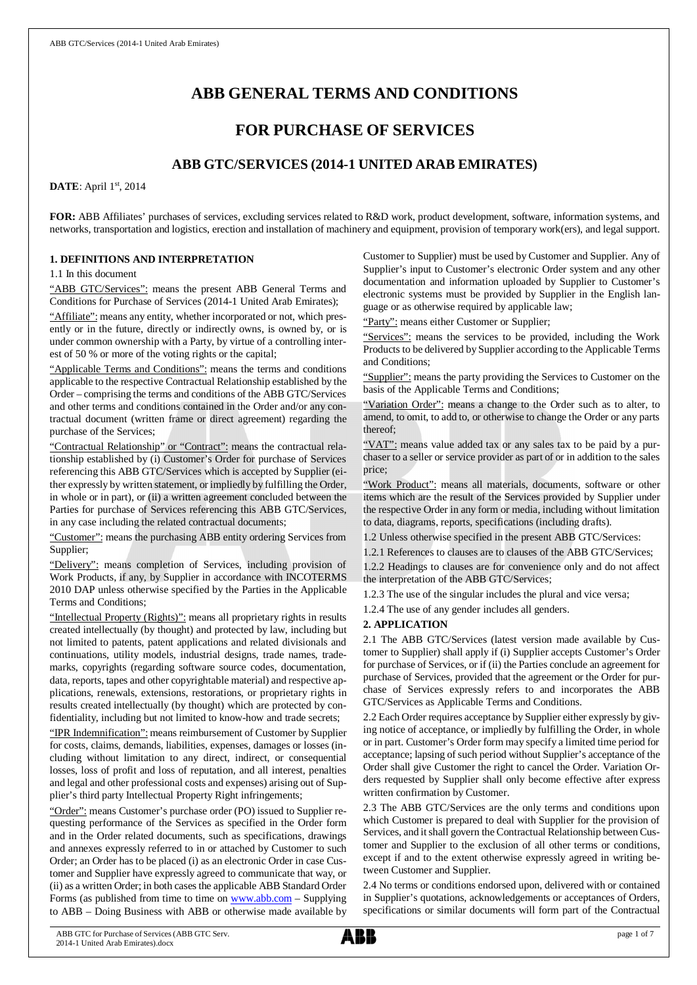# **ABB GENERAL TERMS AND CONDITIONS**

# **FOR PURCHASE OF SERVICES**

# **ABB GTC/SERVICES (2014-1 UNITED ARAB EMIRATES)**

**DATE**: April 1st, 2014

**FOR:** ABB Affiliates' purchases of services, excluding services related to R&D work, product development, software, information systems, and networks, transportation and logistics, erection and installation of machinery and equipment, provision of temporary work(ers), and legal support.

### **1. DEFINITIONS AND INTERPRETATION**

1.1 In this document

"ABB GTC/Services": means the present ABB General Terms and Conditions for Purchase of Services (2014-1 United Arab Emirates);

"Affiliate": means any entity, whether incorporated or not, which presently or in the future, directly or indirectly owns, is owned by, or is under common ownership with a Party, by virtue of a controlling interest of 50 % or more of the voting rights or the capital;

"Applicable Terms and Conditions": means the terms and conditions applicable to the respective Contractual Relationship established by the Order – comprising the terms and conditions of the ABB GTC/Services and other terms and conditions contained in the Order and/or any contractual document (written frame or direct agreement) regarding the purchase of the Services;

"Contractual Relationship" or "Contract": means the contractual relationship established by (i) Customer's Order for purchase of Services referencing this ABB GTC/Services which is accepted by Supplier (either expressly by written statement, or impliedly by fulfilling the Order, in whole or in part), or (ii) a written agreement concluded between the Parties for purchase of Services referencing this ABB GTC/Services, in any case including the related contractual documents;

"Customer": means the purchasing ABB entity ordering Services from Supplier;

"Delivery": means completion of Services, including provision of Work Products, if any, by Supplier in accordance with INCOTERMS 2010 DAP unless otherwise specified by the Parties in the Applicable Terms and Conditions;

"Intellectual Property (Rights)": means all proprietary rights in results created intellectually (by thought) and protected by law, including but not limited to patents, patent applications and related divisionals and continuations, utility models, industrial designs, trade names, trademarks, copyrights (regarding software source codes, documentation, data, reports, tapes and other copyrightable material) and respective applications, renewals, extensions, restorations, or proprietary rights in results created intellectually (by thought) which are protected by confidentiality, including but not limited to know-how and trade secrets;

"IPR Indemnification": means reimbursement of Customer by Supplier for costs, claims, demands, liabilities, expenses, damages or losses (including without limitation to any direct, indirect, or consequential losses, loss of profit and loss of reputation, and all interest, penalties and legal and other professional costs and expenses) arising out of Supplier's third party Intellectual Property Right infringements;

"Order": means Customer's purchase order (PO) issued to Supplier requesting performance of the Services as specified in the Order form and in the Order related documents, such as specifications, drawings and annexes expressly referred to in or attached by Customer to such Order; an Order has to be placed (i) as an electronic Order in case Customer and Supplier have expressly agreed to communicate that way, or (ii) as a written Order; in both cases the applicable ABB Standard Order Forms (as published from time to time on [www.abb.com](http://www.abb.com/) - Supplying to ABB – Doing Business with ABB or otherwise made available by Customer to Supplier) must be used by Customer and Supplier. Any of Supplier's input to Customer's electronic Order system and any other documentation and information uploaded by Supplier to Customer's electronic systems must be provided by Supplier in the English language or as otherwise required by applicable law;

"Party": means either Customer or Supplier;

"Services": means the services to be provided, including the Work Products to be delivered by Supplier according to the Applicable Terms and Conditions;

"Supplier": means the party providing the Services to Customer on the basis of the Applicable Terms and Conditions;

"Variation Order": means a change to the Order such as to alter, to amend, to omit, to add to, or otherwise to change the Order or any parts thereof;

"VAT": means value added tax or any sales tax to be paid by a purchaser to a seller or service provider as part of or in addition to the sales price;

"Work Product": means all materials, documents, software or other items which are the result of the Services provided by Supplier under the respective Order in any form or media, including without limitation to data, diagrams, reports, specifications (including drafts).

1.2 Unless otherwise specified in the present ABB GTC/Services:

1.2.1 References to clauses are to clauses of the ABB GTC/Services; 1.2.2 Headings to clauses are for convenience only and do not affect the interpretation of the ABB GTC/Services;

1.2.3 The use of the singular includes the plural and vice versa;

1.2.4 The use of any gender includes all genders.

### **2. APPLICATION**

2.1 The ABB GTC/Services (latest version made available by Customer to Supplier) shall apply if (i) Supplier accepts Customer's Order for purchase of Services, or if (ii) the Parties conclude an agreement for purchase of Services, provided that the agreement or the Order for purchase of Services expressly refers to and incorporates the ABB GTC/Services as Applicable Terms and Conditions.

2.2 Each Order requires acceptance by Supplier either expressly by giving notice of acceptance, or impliedly by fulfilling the Order, in whole or in part. Customer's Order form may specify a limited time period for acceptance; lapsing of such period without Supplier's acceptance of the Order shall give Customer the right to cancel the Order. Variation Orders requested by Supplier shall only become effective after express written confirmation by Customer.

2.3 The ABB GTC/Services are the only terms and conditions upon which Customer is prepared to deal with Supplier for the provision of Services, and it shall govern the Contractual Relationship between Customer and Supplier to the exclusion of all other terms or conditions, except if and to the extent otherwise expressly agreed in writing between Customer and Supplier.

2.4 No terms or conditions endorsed upon, delivered with or contained in Supplier's quotations, acknowledgements or acceptances of Orders, specifications or similar documents will form part of the Contractual

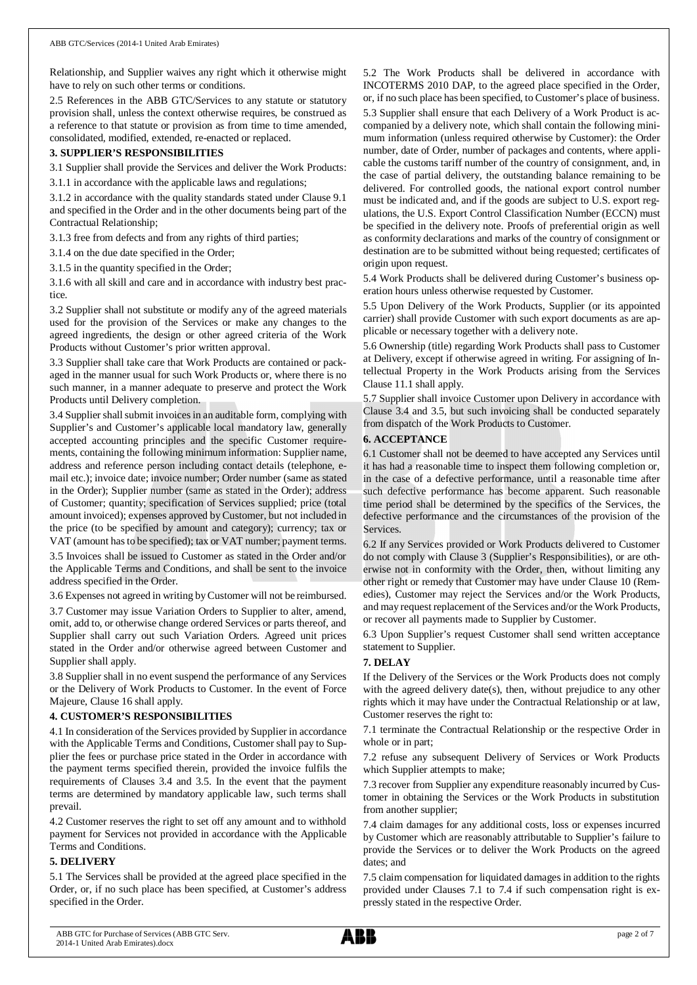Relationship, and Supplier waives any right which it otherwise might have to rely on such other terms or conditions.

2.5 References in the ABB GTC/Services to any statute or statutory provision shall, unless the context otherwise requires, be construed as a reference to that statute or provision as from time to time amended, consolidated, modified, extended, re-enacted or replaced.

### **3. SUPPLIER'S RESPONSIBILITIES**

3.1 Supplier shall provide the Services and deliver the Work Products:

3.1.1 in accordance with the applicable laws and regulations;

3.1.2 in accordance with the quality standards stated under Clause 9.1 and specified in the Order and in the other documents being part of the Contractual Relationship;

3.1.3 free from defects and from any rights of third parties;

3.1.4 on the due date specified in the Order;

3.1.5 in the quantity specified in the Order;

3.1.6 with all skill and care and in accordance with industry best practice.

3.2 Supplier shall not substitute or modify any of the agreed materials used for the provision of the Services or make any changes to the agreed ingredients, the design or other agreed criteria of the Work Products without Customer's prior written approval.

3.3 Supplier shall take care that Work Products are contained or packaged in the manner usual for such Work Products or, where there is no such manner, in a manner adequate to preserve and protect the Work Products until Delivery completion.

3.4 Supplier shall submit invoices in an auditable form, complying with Supplier's and Customer's applicable local mandatory law, generally accepted accounting principles and the specific Customer requirements, containing the following minimum information: Supplier name, address and reference person including contact details (telephone, email etc.); invoice date; invoice number; Order number (same as stated in the Order); Supplier number (same as stated in the Order); address of Customer; quantity; specification of Services supplied; price (total amount invoiced); expenses approved by Customer, but not included in the price (to be specified by amount and category); currency; tax or VAT (amount has to be specified); tax or VAT number; payment terms. 3.5 Invoices shall be issued to Customer as stated in the Order and/or

the Applicable Terms and Conditions, and shall be sent to the invoice address specified in the Order.

3.6 Expenses not agreed in writing by Customer will not be reimbursed.

3.7 Customer may issue Variation Orders to Supplier to alter, amend, omit, add to, or otherwise change ordered Services or parts thereof, and Supplier shall carry out such Variation Orders. Agreed unit prices stated in the Order and/or otherwise agreed between Customer and Supplier shall apply.

3.8 Supplier shall in no event suspend the performance of any Services or the Delivery of Work Products to Customer. In the event of Force Majeure, Clause 16 shall apply.

### **4. CUSTOMER'S RESPONSIBILITIES**

4.1 In consideration of the Services provided by Supplier in accordance with the Applicable Terms and Conditions, Customer shall pay to Supplier the fees or purchase price stated in the Order in accordance with the payment terms specified therein, provided the invoice fulfils the requirements of Clauses 3.4 and 3.5. In the event that the payment terms are determined by mandatory applicable law, such terms shall prevail.

4.2 Customer reserves the right to set off any amount and to withhold payment for Services not provided in accordance with the Applicable Terms and Conditions.

### **5. DELIVERY**

5.1 The Services shall be provided at the agreed place specified in the Order, or, if no such place has been specified, at Customer's address specified in the Order.

5.2 The Work Products shall be delivered in accordance with INCOTERMS 2010 DAP, to the agreed place specified in the Order, or, if no such place has been specified, to Customer's place of business. 5.3 Supplier shall ensure that each Delivery of a Work Product is accompanied by a delivery note, which shall contain the following minimum information (unless required otherwise by Customer): the Order number, date of Order, number of packages and contents, where applicable the customs tariff number of the country of consignment, and, in the case of partial delivery, the outstanding balance remaining to be delivered. For controlled goods, the national export control number must be indicated and, and if the goods are subject to U.S. export regulations, the U.S. Export Control Classification Number (ECCN) must be specified in the delivery note. Proofs of preferential origin as well as conformity declarations and marks of the country of consignment or destination are to be submitted without being requested; certificates of origin upon request.

5.4 Work Products shall be delivered during Customer's business operation hours unless otherwise requested by Customer.

5.5 Upon Delivery of the Work Products, Supplier (or its appointed carrier) shall provide Customer with such export documents as are applicable or necessary together with a delivery note.

5.6 Ownership (title) regarding Work Products shall pass to Customer at Delivery, except if otherwise agreed in writing. For assigning of Intellectual Property in the Work Products arising from the Services Clause 11.1 shall apply.

5.7 Supplier shall invoice Customer upon Delivery in accordance with Clause 3.4 and 3.5, but such invoicing shall be conducted separately from dispatch of the Work Products to Customer.

### **6. ACCEPTANCE**

6.1 Customer shall not be deemed to have accepted any Services until it has had a reasonable time to inspect them following completion or, in the case of a defective performance, until a reasonable time after such defective performance has become apparent. Such reasonable time period shall be determined by the specifics of the Services, the defective performance and the circumstances of the provision of the Services.

6.2 If any Services provided or Work Products delivered to Customer do not comply with Clause 3 (Supplier's Responsibilities), or are otherwise not in conformity with the Order, then, without limiting any other right or remedy that Customer may have under Clause 10 (Remedies), Customer may reject the Services and/or the Work Products, and may request replacement of the Services and/or the Work Products, or recover all payments made to Supplier by Customer.

6.3 Upon Supplier's request Customer shall send written acceptance statement to Supplier.

# **7. DELAY**

If the Delivery of the Services or the Work Products does not comply with the agreed delivery date(s), then, without prejudice to any other rights which it may have under the Contractual Relationship or at law, Customer reserves the right to:

7.1 terminate the Contractual Relationship or the respective Order in whole or in part;

7.2 refuse any subsequent Delivery of Services or Work Products which Supplier attempts to make;

7.3 recover from Supplier any expenditure reasonably incurred by Customer in obtaining the Services or the Work Products in substitution from another supplier;

7.4 claim damages for any additional costs, loss or expenses incurred by Customer which are reasonably attributable to Supplier's failure to provide the Services or to deliver the Work Products on the agreed dates; and

7.5 claim compensation for liquidated damages in addition to the rights provided under Clauses 7.1 to 7.4 if such compensation right is expressly stated in the respective Order.

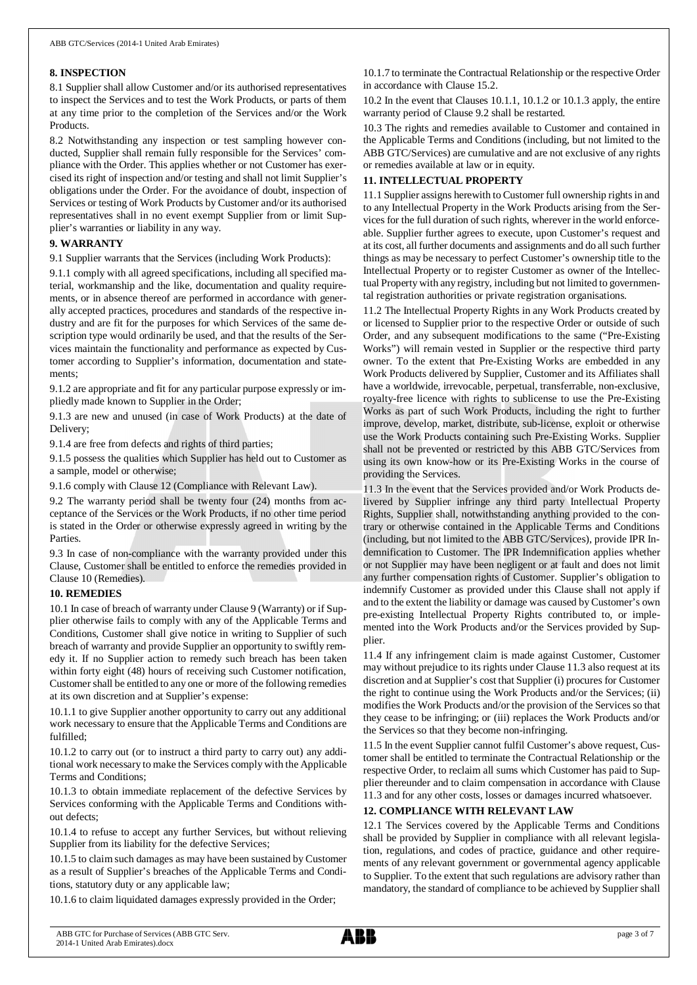### **8. INSPECTION**

8.1 Supplier shall allow Customer and/or its authorised representatives to inspect the Services and to test the Work Products, or parts of them at any time prior to the completion of the Services and/or the Work Products.

8.2 Notwithstanding any inspection or test sampling however conducted, Supplier shall remain fully responsible for the Services' compliance with the Order. This applies whether or not Customer has exercised its right of inspection and/or testing and shall not limit Supplier's obligations under the Order. For the avoidance of doubt, inspection of Services or testing of Work Products by Customer and/or its authorised representatives shall in no event exempt Supplier from or limit Supplier's warranties or liability in any way.

## **9. WARRANTY**

9.1 Supplier warrants that the Services (including Work Products):

9.1.1 comply with all agreed specifications, including all specified material, workmanship and the like, documentation and quality requirements, or in absence thereof are performed in accordance with generally accepted practices, procedures and standards of the respective industry and are fit for the purposes for which Services of the same description type would ordinarily be used, and that the results of the Services maintain the functionality and performance as expected by Customer according to Supplier's information, documentation and statements;

9.1.2 are appropriate and fit for any particular purpose expressly or impliedly made known to Supplier in the Order;

9.1.3 are new and unused (in case of Work Products) at the date of Delivery;

9.1.4 are free from defects and rights of third parties;

9.1.5 possess the qualities which Supplier has held out to Customer as a sample, model or otherwise;

9.1.6 comply with Clause 12 (Compliance with Relevant Law).

9.2 The warranty period shall be twenty four (24) months from acceptance of the Services or the Work Products, if no other time period is stated in the Order or otherwise expressly agreed in writing by the Parties.

9.3 In case of non-compliance with the warranty provided under this Clause, Customer shall be entitled to enforce the remedies provided in Clause 10 (Remedies).

### **10. REMEDIES**

10.1 In case of breach of warranty under Clause 9 (Warranty) or if Supplier otherwise fails to comply with any of the Applicable Terms and Conditions, Customer shall give notice in writing to Supplier of such breach of warranty and provide Supplier an opportunity to swiftly remedy it. If no Supplier action to remedy such breach has been taken within forty eight (48) hours of receiving such Customer notification, Customer shall be entitled to any one or more of the following remedies at its own discretion and at Supplier's expense:

10.1.1 to give Supplier another opportunity to carry out any additional work necessary to ensure that the Applicable Terms and Conditions are fulfilled;

10.1.2 to carry out (or to instruct a third party to carry out) any additional work necessary to make the Services comply with the Applicable Terms and Conditions;

10.1.3 to obtain immediate replacement of the defective Services by Services conforming with the Applicable Terms and Conditions without defects;

10.1.4 to refuse to accept any further Services, but without relieving Supplier from its liability for the defective Services;

10.1.5 to claim such damages as may have been sustained by Customer as a result of Supplier's breaches of the Applicable Terms and Conditions, statutory duty or any applicable law;

10.1.6 to claim liquidated damages expressly provided in the Order;

10.1.7 to terminate the Contractual Relationship or the respective Order in accordance with Clause 15.2.

10.2 In the event that Clauses 10.1.1, 10.1.2 or 10.1.3 apply, the entire warranty period of Clause 9.2 shall be restarted.

10.3 The rights and remedies available to Customer and contained in the Applicable Terms and Conditions (including, but not limited to the ABB GTC/Services) are cumulative and are not exclusive of any rights or remedies available at law or in equity.

# **11. INTELLECTUAL PROPERTY**

11.1 Supplier assigns herewith to Customer full ownership rights in and to any Intellectual Property in the Work Products arising from the Services for the full duration of such rights, wherever in the world enforceable. Supplier further agrees to execute, upon Customer's request and at its cost, all further documents and assignments and do all such further things as may be necessary to perfect Customer's ownership title to the Intellectual Property or to register Customer as owner of the Intellectual Property with any registry, including but not limited to governmental registration authorities or private registration organisations.

11.2 The Intellectual Property Rights in any Work Products created by or licensed to Supplier prior to the respective Order or outside of such Order, and any subsequent modifications to the same ("Pre-Existing Works") will remain vested in Supplier or the respective third party owner. To the extent that Pre-Existing Works are embedded in any Work Products delivered by Supplier, Customer and its Affiliates shall have a worldwide, irrevocable, perpetual, transferrable, non-exclusive, royalty-free licence with rights to sublicense to use the Pre-Existing Works as part of such Work Products, including the right to further improve, develop, market, distribute, sub-license, exploit or otherwise use the Work Products containing such Pre-Existing Works. Supplier shall not be prevented or restricted by this ABB GTC/Services from using its own know-how or its Pre-Existing Works in the course of providing the Services.

11.3 In the event that the Services provided and/or Work Products delivered by Supplier infringe any third party Intellectual Property Rights, Supplier shall, notwithstanding anything provided to the contrary or otherwise contained in the Applicable Terms and Conditions (including, but not limited to the ABB GTC/Services), provide IPR Indemnification to Customer. The IPR Indemnification applies whether or not Supplier may have been negligent or at fault and does not limit any further compensation rights of Customer. Supplier's obligation to indemnify Customer as provided under this Clause shall not apply if and to the extent the liability or damage was caused by Customer's own pre-existing Intellectual Property Rights contributed to, or implemented into the Work Products and/or the Services provided by Supplier.

11.4 If any infringement claim is made against Customer, Customer may without prejudice to its rights under Clause 11.3 also request at its discretion and at Supplier's cost that Supplier (i) procures for Customer the right to continue using the Work Products and/or the Services; (ii) modifies the Work Products and/or the provision of the Services so that they cease to be infringing; or (iii) replaces the Work Products and/or the Services so that they become non-infringing.

11.5 In the event Supplier cannot fulfil Customer's above request, Customer shall be entitled to terminate the Contractual Relationship or the respective Order, to reclaim all sums which Customer has paid to Supplier thereunder and to claim compensation in accordance with Clause 11.3 and for any other costs, losses or damages incurred whatsoever.

# **12. COMPLIANCE WITH RELEVANT LAW**

12.1 The Services covered by the Applicable Terms and Conditions shall be provided by Supplier in compliance with all relevant legislation, regulations, and codes of practice, guidance and other requirements of any relevant government or governmental agency applicable to Supplier. To the extent that such regulations are advisory rather than mandatory, the standard of compliance to be achieved by Supplier shall

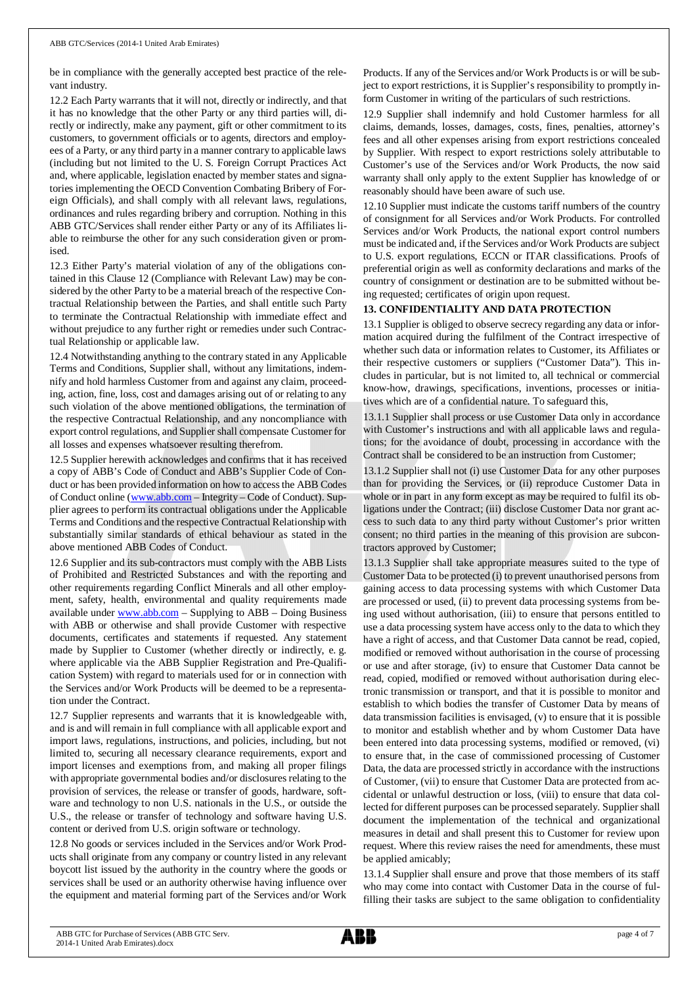be in compliance with the generally accepted best practice of the relevant industry.

12.2 Each Party warrants that it will not, directly or indirectly, and that it has no knowledge that the other Party or any third parties will, directly or indirectly, make any payment, gift or other commitment to its customers, to government officials or to agents, directors and employees of a Party, or any third party in a manner contrary to applicable laws (including but not limited to the U. S. Foreign Corrupt Practices Act and, where applicable, legislation enacted by member states and signatories implementing the OECD Convention Combating Bribery of Foreign Officials), and shall comply with all relevant laws, regulations, ordinances and rules regarding bribery and corruption. Nothing in this ABB GTC/Services shall render either Party or any of its Affiliates liable to reimburse the other for any such consideration given or promised.

12.3 Either Party's material violation of any of the obligations contained in this Clause 12 (Compliance with Relevant Law) may be considered by the other Party to be a material breach of the respective Contractual Relationship between the Parties, and shall entitle such Party to terminate the Contractual Relationship with immediate effect and without prejudice to any further right or remedies under such Contractual Relationship or applicable law.

12.4 Notwithstanding anything to the contrary stated in any Applicable Terms and Conditions, Supplier shall, without any limitations, indemnify and hold harmless Customer from and against any claim, proceeding, action, fine, loss, cost and damages arising out of or relating to any such violation of the above mentioned obligations, the termination of the respective Contractual Relationship, and any noncompliance with export control regulations, and Supplier shall compensate Customer for all losses and expenses whatsoever resulting therefrom.

12.5 Supplier herewith acknowledges and confirms that it has received a copy of ABB's Code of Conduct and ABB's Supplier Code of Conduct or has been provided information on how to access the ABB Codes of Conduct online ([www.abb.com](http://www.abb.com/) – Integrity – Code of Conduct). Supplier agrees to perform its contractual obligations under the Applicable Terms and Conditions and the respective Contractual Relationship with substantially similar standards of ethical behaviour as stated in the above mentioned ABB Codes of Conduct.

12.6 Supplier and its sub-contractors must comply with the ABB Lists of Prohibited and Restricted Substances and with the reporting and other requirements regarding Conflict Minerals and all other employment, safety, health, environmental and quality requirements made available under [www.abb.com](http://www.abb.com/) – Supplying to ABB – Doing Business with ABB or otherwise and shall provide Customer with respective documents, certificates and statements if requested. Any statement made by Supplier to Customer (whether directly or indirectly, e. g. where applicable via the ABB Supplier Registration and Pre-Qualification System) with regard to materials used for or in connection with the Services and/or Work Products will be deemed to be a representation under the Contract.

12.7 Supplier represents and warrants that it is knowledgeable with, and is and will remain in full compliance with all applicable export and import laws, regulations, instructions, and policies, including, but not limited to, securing all necessary clearance requirements, export and import licenses and exemptions from, and making all proper filings with appropriate governmental bodies and/or disclosures relating to the provision of services, the release or transfer of goods, hardware, software and technology to non U.S. nationals in the U.S., or outside the U.S., the release or transfer of technology and software having U.S. content or derived from U.S. origin software or technology.

12.8 No goods or services included in the Services and/or Work Products shall originate from any company or country listed in any relevant boycott list issued by the authority in the country where the goods or services shall be used or an authority otherwise having influence over the equipment and material forming part of the Services and/or Work

Products. If any of the Services and/or Work Products is or will be subject to export restrictions, it is Supplier's responsibility to promptly inform Customer in writing of the particulars of such restrictions.

12.9 Supplier shall indemnify and hold Customer harmless for all claims, demands, losses, damages, costs, fines, penalties, attorney's fees and all other expenses arising from export restrictions concealed by Supplier. With respect to export restrictions solely attributable to Customer's use of the Services and/or Work Products, the now said warranty shall only apply to the extent Supplier has knowledge of or reasonably should have been aware of such use.

12.10 Supplier must indicate the customs tariff numbers of the country of consignment for all Services and/or Work Products. For controlled Services and/or Work Products, the national export control numbers must be indicated and, if the Services and/or Work Products are subject to U.S. export regulations, ECCN or ITAR classifications. Proofs of preferential origin as well as conformity declarations and marks of the country of consignment or destination are to be submitted without being requested; certificates of origin upon request.

# **13. CONFIDENTIALITY AND DATA PROTECTION**

13.1 Supplier is obliged to observe secrecy regarding any data or information acquired during the fulfilment of the Contract irrespective of whether such data or information relates to Customer, its Affiliates or their respective customers or suppliers ("Customer Data"). This includes in particular, but is not limited to, all technical or commercial know-how, drawings, specifications, inventions, processes or initiatives which are of a confidential nature. To safeguard this,

13.1.1 Supplier shall process or use Customer Data only in accordance with Customer's instructions and with all applicable laws and regulations; for the avoidance of doubt, processing in accordance with the Contract shall be considered to be an instruction from Customer;

13.1.2 Supplier shall not (i) use Customer Data for any other purposes than for providing the Services, or (ii) reproduce Customer Data in whole or in part in any form except as may be required to fulfil its obligations under the Contract; (iii) disclose Customer Data nor grant access to such data to any third party without Customer's prior written consent; no third parties in the meaning of this provision are subcontractors approved by Customer;

13.1.3 Supplier shall take appropriate measures suited to the type of Customer Data to be protected (i) to prevent unauthorised persons from gaining access to data processing systems with which Customer Data are processed or used, (ii) to prevent data processing systems from being used without authorisation, (iii) to ensure that persons entitled to use a data processing system have access only to the data to which they have a right of access, and that Customer Data cannot be read, copied, modified or removed without authorisation in the course of processing or use and after storage, (iv) to ensure that Customer Data cannot be read, copied, modified or removed without authorisation during electronic transmission or transport, and that it is possible to monitor and establish to which bodies the transfer of Customer Data by means of data transmission facilities is envisaged, (v) to ensure that it is possible to monitor and establish whether and by whom Customer Data have been entered into data processing systems, modified or removed, (vi) to ensure that, in the case of commissioned processing of Customer Data, the data are processed strictly in accordance with the instructions of Customer, (vii) to ensure that Customer Data are protected from accidental or unlawful destruction or loss, (viii) to ensure that data collected for different purposes can be processed separately. Supplier shall document the implementation of the technical and organizational measures in detail and shall present this to Customer for review upon request. Where this review raises the need for amendments, these must be applied amicably;

13.1.4 Supplier shall ensure and prove that those members of its staff who may come into contact with Customer Data in the course of fulfilling their tasks are subject to the same obligation to confidentiality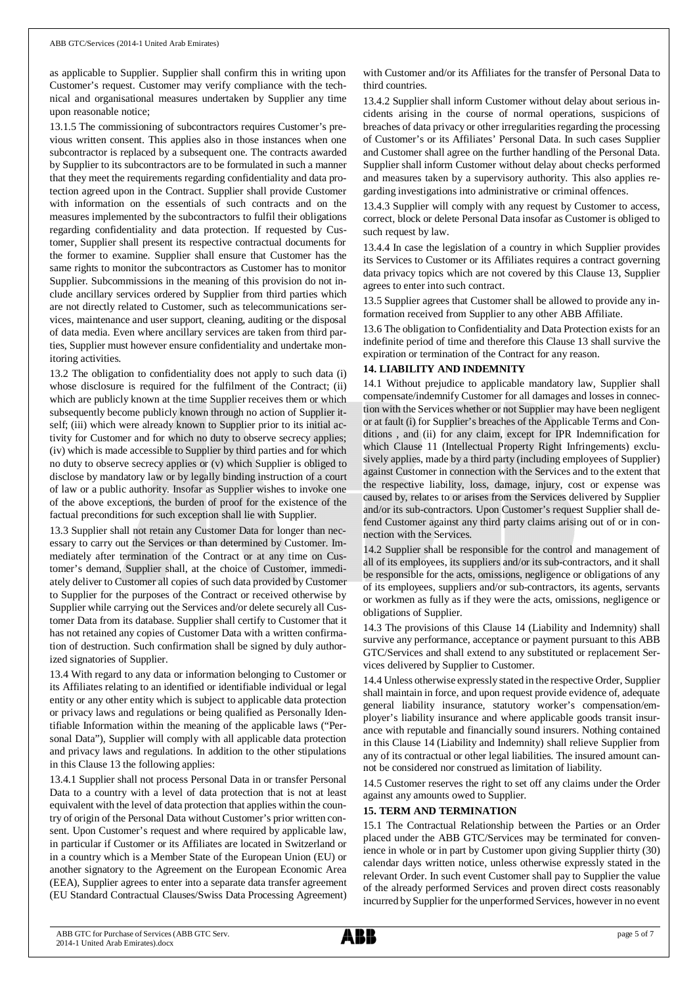as applicable to Supplier. Supplier shall confirm this in writing upon Customer's request. Customer may verify compliance with the technical and organisational measures undertaken by Supplier any time upon reasonable notice;

13.1.5 The commissioning of subcontractors requires Customer's previous written consent. This applies also in those instances when one subcontractor is replaced by a subsequent one. The contracts awarded by Supplier to its subcontractors are to be formulated in such a manner that they meet the requirements regarding confidentiality and data protection agreed upon in the Contract. Supplier shall provide Customer with information on the essentials of such contracts and on the measures implemented by the subcontractors to fulfil their obligations regarding confidentiality and data protection. If requested by Customer, Supplier shall present its respective contractual documents for the former to examine. Supplier shall ensure that Customer has the same rights to monitor the subcontractors as Customer has to monitor Supplier. Subcommissions in the meaning of this provision do not include ancillary services ordered by Supplier from third parties which are not directly related to Customer, such as telecommunications services, maintenance and user support, cleaning, auditing or the disposal of data media. Even where ancillary services are taken from third parties, Supplier must however ensure confidentiality and undertake monitoring activities.

13.2 The obligation to confidentiality does not apply to such data (i) whose disclosure is required for the fulfilment of the Contract; (ii) which are publicly known at the time Supplier receives them or which subsequently become publicly known through no action of Supplier itself; (iii) which were already known to Supplier prior to its initial activity for Customer and for which no duty to observe secrecy applies; (iv) which is made accessible to Supplier by third parties and for which no duty to observe secrecy applies or (v) which Supplier is obliged to disclose by mandatory law or by legally binding instruction of a court of law or a public authority. Insofar as Supplier wishes to invoke one of the above exceptions, the burden of proof for the existence of the factual preconditions for such exception shall lie with Supplier.

13.3 Supplier shall not retain any Customer Data for longer than necessary to carry out the Services or than determined by Customer. Immediately after termination of the Contract or at any time on Customer's demand, Supplier shall, at the choice of Customer, immediately deliver to Customer all copies of such data provided by Customer to Supplier for the purposes of the Contract or received otherwise by Supplier while carrying out the Services and/or delete securely all Customer Data from its database. Supplier shall certify to Customer that it has not retained any copies of Customer Data with a written confirmation of destruction. Such confirmation shall be signed by duly authorized signatories of Supplier.

13.4 With regard to any data or information belonging to Customer or its Affiliates relating to an identified or identifiable individual or legal entity or any other entity which is subject to applicable data protection or privacy laws and regulations or being qualified as Personally Identifiable Information within the meaning of the applicable laws ("Personal Data"), Supplier will comply with all applicable data protection and privacy laws and regulations. In addition to the other stipulations in this Clause 13 the following applies:

13.4.1 Supplier shall not process Personal Data in or transfer Personal Data to a country with a level of data protection that is not at least equivalent with the level of data protection that applies within the country of origin of the Personal Data without Customer's prior written consent. Upon Customer's request and where required by applicable law, in particular if Customer or its Affiliates are located in Switzerland or in a country which is a Member State of the European Union (EU) or another signatory to the Agreement on the European Economic Area (EEA), Supplier agrees to enter into a separate data transfer agreement (EU Standard Contractual Clauses/Swiss Data Processing Agreement) with Customer and/or its Affiliates for the transfer of Personal Data to third countries.

13.4.2 Supplier shall inform Customer without delay about serious incidents arising in the course of normal operations, suspicions of breaches of data privacy or other irregularities regarding the processing of Customer's or its Affiliates' Personal Data. In such cases Supplier and Customer shall agree on the further handling of the Personal Data. Supplier shall inform Customer without delay about checks performed and measures taken by a supervisory authority. This also applies regarding investigations into administrative or criminal offences.

13.4.3 Supplier will comply with any request by Customer to access, correct, block or delete Personal Data insofar as Customer is obliged to such request by law.

13.4.4 In case the legislation of a country in which Supplier provides its Services to Customer or its Affiliates requires a contract governing data privacy topics which are not covered by this Clause 13, Supplier agrees to enter into such contract.

13.5 Supplier agrees that Customer shall be allowed to provide any information received from Supplier to any other ABB Affiliate.

13.6 The obligation to Confidentiality and Data Protection exists for an indefinite period of time and therefore this Clause 13 shall survive the expiration or termination of the Contract for any reason.

### **14. LIABILITY AND INDEMNITY**

14.1 Without prejudice to applicable mandatory law, Supplier shall compensate/indemnify Customer for all damages and losses in connection with the Services whether or not Supplier may have been negligent or at fault (i) for Supplier's breaches of the Applicable Terms and Conditions , and (ii) for any claim, except for IPR Indemnification for which Clause 11 (Intellectual Property Right Infringements) exclusively applies, made by a third party (including employees of Supplier) against Customer in connection with the Services and to the extent that the respective liability, loss, damage, injury, cost or expense was caused by, relates to or arises from the Services delivered by Supplier and/or its sub-contractors. Upon Customer's request Supplier shall defend Customer against any third party claims arising out of or in connection with the Services.

14.2 Supplier shall be responsible for the control and management of all of its employees, its suppliers and/or its sub-contractors, and it shall be responsible for the acts, omissions, negligence or obligations of any of its employees, suppliers and/or sub-contractors, its agents, servants or workmen as fully as if they were the acts, omissions, negligence or obligations of Supplier.

14.3 The provisions of this Clause 14 (Liability and Indemnity) shall survive any performance, acceptance or payment pursuant to this ABB GTC/Services and shall extend to any substituted or replacement Services delivered by Supplier to Customer.

14.4 Unless otherwise expressly stated in the respective Order, Supplier shall maintain in force, and upon request provide evidence of, adequate general liability insurance, statutory worker's compensation/employer's liability insurance and where applicable goods transit insurance with reputable and financially sound insurers. Nothing contained in this Clause 14 (Liability and Indemnity) shall relieve Supplier from any of its contractual or other legal liabilities. The insured amount cannot be considered nor construed as limitation of liability.

14.5 Customer reserves the right to set off any claims under the Order against any amounts owed to Supplier.

### **15. TERM AND TERMINATION**

15.1 The Contractual Relationship between the Parties or an Order placed under the ABB GTC/Services may be terminated for convenience in whole or in part by Customer upon giving Supplier thirty (30) calendar days written notice, unless otherwise expressly stated in the relevant Order. In such event Customer shall pay to Supplier the value of the already performed Services and proven direct costs reasonably incurred by Supplier for the unperformed Services, however in no event

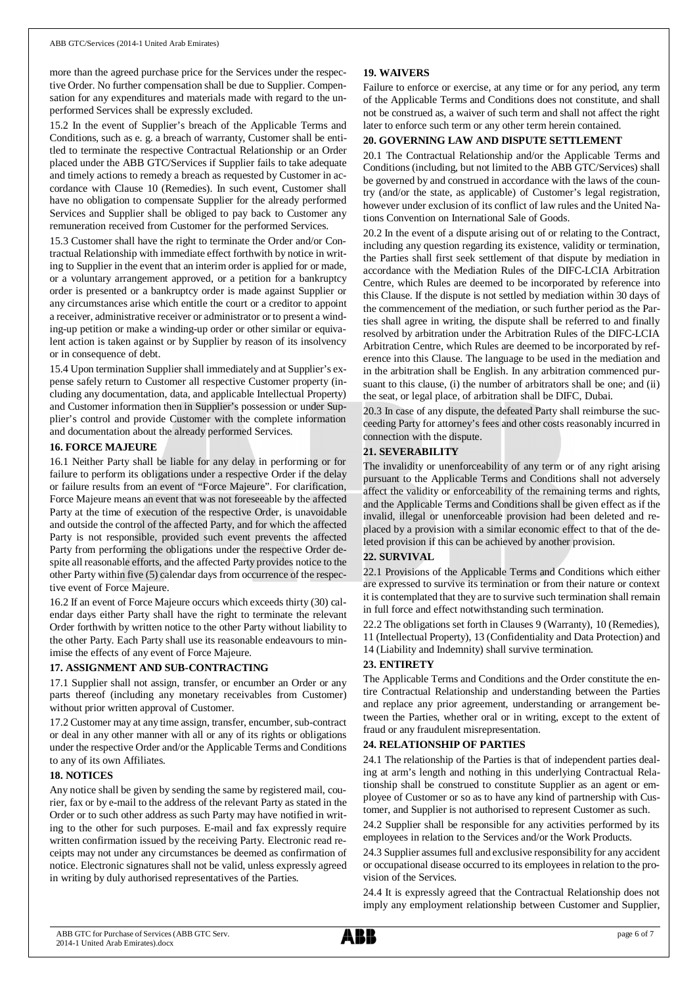more than the agreed purchase price for the Services under the respective Order. No further compensation shall be due to Supplier. Compensation for any expenditures and materials made with regard to the unperformed Services shall be expressly excluded.

15.2 In the event of Supplier's breach of the Applicable Terms and Conditions, such as e. g. a breach of warranty, Customer shall be entitled to terminate the respective Contractual Relationship or an Order placed under the ABB GTC/Services if Supplier fails to take adequate and timely actions to remedy a breach as requested by Customer in accordance with Clause 10 (Remedies). In such event, Customer shall have no obligation to compensate Supplier for the already performed Services and Supplier shall be obliged to pay back to Customer any remuneration received from Customer for the performed Services.

15.3 Customer shall have the right to terminate the Order and/or Contractual Relationship with immediate effect forthwith by notice in writing to Supplier in the event that an interim order is applied for or made, or a voluntary arrangement approved, or a petition for a bankruptcy order is presented or a bankruptcy order is made against Supplier or any circumstances arise which entitle the court or a creditor to appoint a receiver, administrative receiver or administrator or to present a winding-up petition or make a winding-up order or other similar or equivalent action is taken against or by Supplier by reason of its insolvency or in consequence of debt.

15.4 Upon termination Supplier shall immediately and at Supplier's expense safely return to Customer all respective Customer property (including any documentation, data, and applicable Intellectual Property) and Customer information then in Supplier's possession or under Supplier's control and provide Customer with the complete information and documentation about the already performed Services.

### **16. FORCE MAJEURE**

16.1 Neither Party shall be liable for any delay in performing or for failure to perform its obligations under a respective Order if the delay or failure results from an event of "Force Majeure". For clarification, Force Majeure means an event that was not foreseeable by the affected Party at the time of execution of the respective Order, is unavoidable and outside the control of the affected Party, and for which the affected Party is not responsible, provided such event prevents the affected Party from performing the obligations under the respective Order despite all reasonable efforts, and the affected Party provides notice to the other Party within five (5) calendar days from occurrence of the respective event of Force Majeure.

16.2 If an event of Force Majeure occurs which exceeds thirty (30) calendar days either Party shall have the right to terminate the relevant Order forthwith by written notice to the other Party without liability to the other Party. Each Party shall use its reasonable endeavours to minimise the effects of any event of Force Majeure.

### **17. ASSIGNMENT AND SUB-CONTRACTING**

17.1 Supplier shall not assign, transfer, or encumber an Order or any parts thereof (including any monetary receivables from Customer) without prior written approval of Customer.

17.2 Customer may at any time assign, transfer, encumber, sub-contract or deal in any other manner with all or any of its rights or obligations under the respective Order and/or the Applicable Terms and Conditions to any of its own Affiliates.

### **18. NOTICES**

Any notice shall be given by sending the same by registered mail, courier, fax or by e-mail to the address of the relevant Party as stated in the Order or to such other address as such Party may have notified in writing to the other for such purposes. E-mail and fax expressly require written confirmation issued by the receiving Party. Electronic read receipts may not under any circumstances be deemed as confirmation of notice. Electronic signatures shall not be valid, unless expressly agreed in writing by duly authorised representatives of the Parties.

## **19. WAIVERS**

Failure to enforce or exercise, at any time or for any period, any term of the Applicable Terms and Conditions does not constitute, and shall not be construed as, a waiver of such term and shall not affect the right later to enforce such term or any other term herein contained.

### **20. GOVERNING LAW AND DISPUTE SETTLEMENT**

20.1 The Contractual Relationship and/or the Applicable Terms and Conditions (including, but not limited to the ABB GTC/Services) shall be governed by and construed in accordance with the laws of the country (and/or the state, as applicable) of Customer's legal registration, however under exclusion of its conflict of law rules and the United Nations Convention on International Sale of Goods.

20.2 In the event of a dispute arising out of or relating to the Contract, including any question regarding its existence, validity or termination, the Parties shall first seek settlement of that dispute by mediation in accordance with the Mediation Rules of the DIFC-LCIA Arbitration Centre, which Rules are deemed to be incorporated by reference into this Clause. If the dispute is not settled by mediation within 30 days of the commencement of the mediation, or such further period as the Parties shall agree in writing, the dispute shall be referred to and finally resolved by arbitration under the Arbitration Rules of the DIFC-LCIA Arbitration Centre, which Rules are deemed to be incorporated by reference into this Clause. The language to be used in the mediation and in the arbitration shall be English. In any arbitration commenced pursuant to this clause, (i) the number of arbitrators shall be one; and (ii) the seat, or legal place, of arbitration shall be DIFC, Dubai.

20.3 In case of any dispute, the defeated Party shall reimburse the succeeding Party for attorney's fees and other costs reasonably incurred in connection with the dispute.

# **21. SEVERABILITY**

The invalidity or unenforceability of any term or of any right arising pursuant to the Applicable Terms and Conditions shall not adversely affect the validity or enforceability of the remaining terms and rights, and the Applicable Terms and Conditions shall be given effect as if the invalid, illegal or unenforceable provision had been deleted and replaced by a provision with a similar economic effect to that of the deleted provision if this can be achieved by another provision.

# **22. SURVIVAL**

22.1 Provisions of the Applicable Terms and Conditions which either are expressed to survive its termination or from their nature or context it is contemplated that they are to survive such termination shall remain in full force and effect notwithstanding such termination.

22.2 The obligations set forth in Clauses 9 (Warranty), 10 (Remedies), 11 (Intellectual Property), 13 (Confidentiality and Data Protection) and 14 (Liability and Indemnity) shall survive termination.

### **23. ENTIRETY**

The Applicable Terms and Conditions and the Order constitute the entire Contractual Relationship and understanding between the Parties and replace any prior agreement, understanding or arrangement between the Parties, whether oral or in writing, except to the extent of fraud or any fraudulent misrepresentation.

### **24. RELATIONSHIP OF PARTIES**

24.1 The relationship of the Parties is that of independent parties dealing at arm's length and nothing in this underlying Contractual Relationship shall be construed to constitute Supplier as an agent or employee of Customer or so as to have any kind of partnership with Customer, and Supplier is not authorised to represent Customer as such.

24.2 Supplier shall be responsible for any activities performed by its employees in relation to the Services and/or the Work Products.

24.3 Supplier assumes full and exclusive responsibility for any accident or occupational disease occurred to its employees in relation to the provision of the Services.

24.4 It is expressly agreed that the Contractual Relationship does not imply any employment relationship between Customer and Supplier,